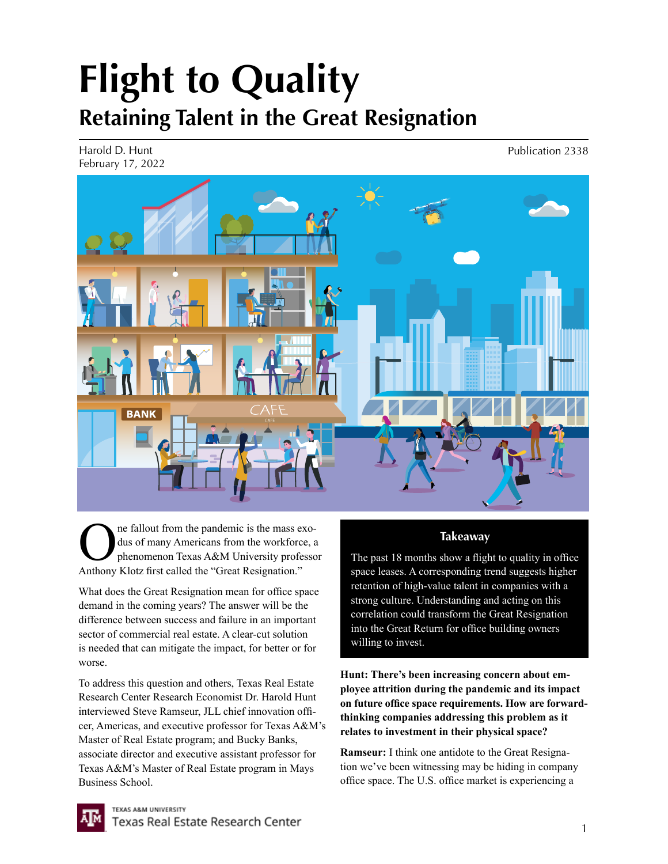# **Flight to Quality Retaining Talent in the Great Resignation**

Harold D. Hunt February 17, 2022 Publication 2338



ne fallout from the pandemic is the mass exodus of many Americans from the workforce, a phenomenon Texas A&M University professor Anthony Klotz first called the "Great Resignation."

What does the Great Resignation mean for office space demand in the coming years? The answer will be the difference between success and failure in an important sector of commercial real estate. A clear-cut solution is needed that can mitigate the impact, for better or for worse.

To address this question and others, Texas Real Estate Research Center Research Economist Dr. Harold Hunt interviewed Steve Ramseur, JLL chief innovation officer, Americas, and executive professor for Texas A&M's Master of Real Estate program; and Bucky Banks, associate director and executive assistant professor for Texas A&M's Master of Real Estate program in Mays Business School.

### **Takeaway**

The past 18 months show a flight to quality in office space leases. A corresponding trend suggests higher retention of high-value talent in companies with a strong culture. Understanding and acting on this correlation could transform the Great Resignation into the Great Return for office building owners willing to invest.

**Hunt: There's been increasing concern about employee attrition during the pandemic and its impact on future office space requirements. How are forwardthinking companies addressing this problem as it relates to investment in their physical space?** 

**Ramseur:** I think one antidote to the Great Resignation we've been witnessing may be hiding in company office space. The U.S. office market is experiencing a

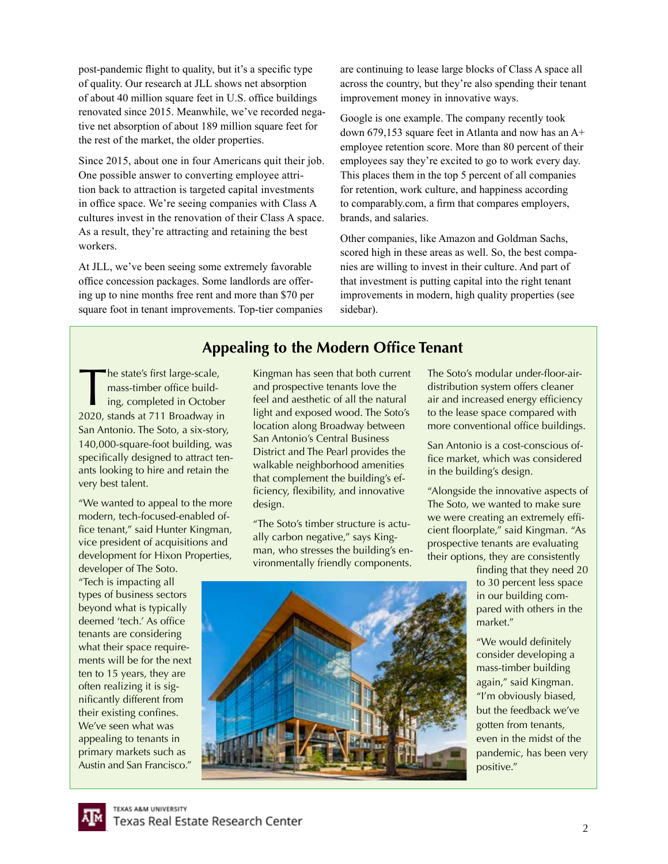post-pandemic flight to quality, but it's a specific type of quality. Our research at JLL shows net absorption of about 40 million square feet in U.S. office buildings renovated since 2015. Meanwhile, we've recorded negative net absorption of about 189 million square feet for the rest of the market, the older properties.

Since 2015, about one in four Americans quit their job. One possible answer to converting employee attrition back to attraction is targeted capital investments in office space. We're seeing companies with Class A cultures invest in the renovation of their Class A space. As a result, they're attracting and retaining the best workers.

At JLL, we've been seeing some extremely favorable office concession packages. Some landlords are offering up to nine months free rent and more than \$70 per square foot in tenant improvements. Top-tier companies are continuing to lease large blocks of Class A space all across the country, but they're also spending their tenant improvement money in innovative ways.

Google is one example. The company recently took down 679,153 square feet in Atlanta and now has an A+ employee retention score. More than 80 percent of their employees say they're excited to go to work every day. This places them in the top 5 percent of all companies for retention, work culture, and happiness according to comparably.com, a firm that compares employers, brands, and salaries.

Other companies, like Amazon and Goldman Sachs, scored high in these areas as well. So, the best companies are willing to invest in their culture. And part of that investment is putting capital into the right tenant improvements in modern, high quality properties (see sidebar).

## **Appealing to the Modern Office Tenant**

The state's first large-scale,<br>mass-timber office build-<br>ing, completed in Octobe<br>2020, stands at 711 Broadway in mass-timber office building, completed in October 2020, stands at 711 Broadway in San Antonio. The Soto, a six-story, 140,000-square-foot building, was specifically designed to attract tenants looking to hire and retain the very best talent.

"We wanted to appeal to the more modern, tech-focused-enabled office tenant," said Hunter Kingman, vice president of acquisitions and development for Hixon Properties,

developer of The Soto. "Tech is impacting all types of business sectors beyond what is typically deemed 'tech.' As office tenants are considering what their space requirements will be for the next ten to 15 years, they are often realizing it is significantly different from their existing confines. We've seen what was appealing to tenants in primary markets such as Austin and San Francisco."

Kingman has seen that both current and prospective tenants love the feel and aesthetic of all the natural light and exposed wood. The Soto's location along Broadway between San Antonio's Central Business District and The Pearl provides the walkable neighborhood amenities that complement the building's efficiency, flexibility, and innovative design.

"The Soto's timber structure is actually carbon negative," says Kingman, who stresses the building's environmentally friendly components.

The Soto's modular under-floor-airdistribution system offers cleaner air and increased energy efficiency to the lease space compared with more conventional office buildings.

San Antonio is a cost-conscious office market, which was considered in the building's design.

"Alongside the innovative aspects of The Soto, we wanted to make sure we were creating an extremely efficient floorplate," said Kingman. "As prospective tenants are evaluating their options, they are consistently

> finding that they need 20 to 30 percent less space in our building compared with others in the market."

> "We would definitely consider developing a mass-timber building again," said Kingman. "I'm obviously biased, but the feedback we've gotten from tenants, even in the midst of the pandemic, has been very positive."

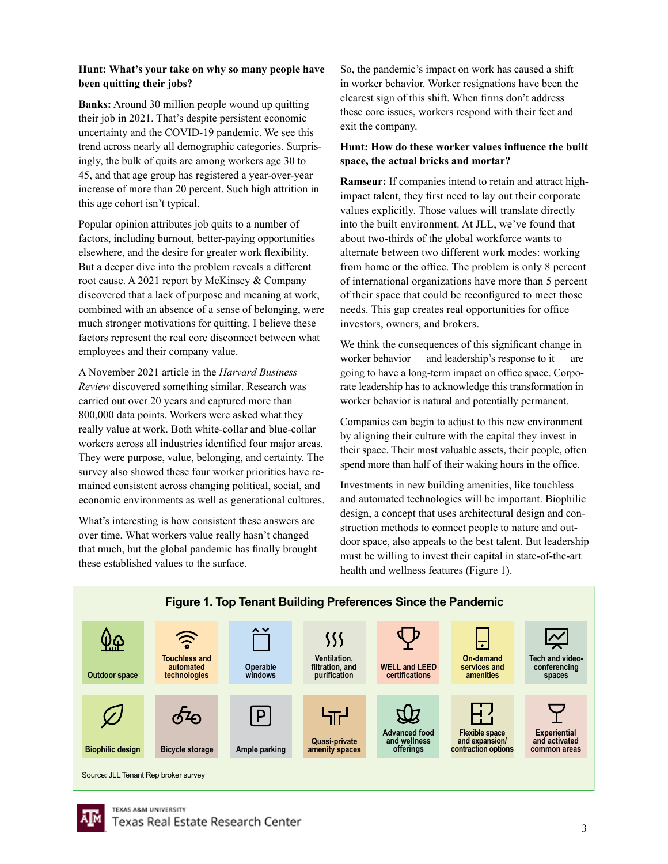#### **Hunt: What's your take on why so many people have been quitting their jobs?**

**Banks:** Around 30 million people wound up quitting their job in 2021. That's despite persistent economic uncertainty and the COVID-19 pandemic. We see this trend across nearly all demographic categories. Surprisingly, the bulk of quits are among workers age 30 to 45, and that age group has registered a year-over-year increase of more than 20 percent. Such high attrition in this age cohort isn't typical.

Popular opinion attributes job quits to a number of factors, including burnout, better-paying opportunities elsewhere, and the desire for greater work flexibility. But a deeper dive into the problem reveals a different root cause. A 2021 report by McKinsey & Company discovered that a lack of purpose and meaning at work, combined with an absence of a sense of belonging, were much stronger motivations for quitting. I believe these factors represent the real core disconnect between what employees and their company value.

A November 2021 article in the *Harvard Business Review* discovered something similar. Research was carried out over 20 years and captured more than 800,000 data points. Workers were asked what they really value at work. Both white-collar and blue-collar workers across all industries identified four major areas. They were purpose, value, belonging, and certainty. The survey also showed these four worker priorities have remained consistent across changing political, social, and economic environments as well as generational cultures.

What's interesting is how consistent these answers are over time. What workers value really hasn't changed that much, but the global pandemic has finally brought these established values to the surface.

So, the pandemic's impact on work has caused a shift in worker behavior. Worker resignations have been the clearest sign of this shift. When firms don't address these core issues, workers respond with their feet and exit the company.

#### **Hunt: How do these worker values influence the built space, the actual bricks and mortar?**

**Ramseur:** If companies intend to retain and attract highimpact talent, they first need to lay out their corporate values explicitly. Those values will translate directly into the built environment. At JLL, we've found that about two-thirds of the global workforce wants to alternate between two different work modes: working from home or the office. The problem is only 8 percent of international organizations have more than 5 percent of their space that could be reconfigured to meet those needs. This gap creates real opportunities for office investors, owners, and brokers.

We think the consequences of this significant change in worker behavior — and leadership's response to it — are going to have a long-term impact on office space. Corporate leadership has to acknowledge this transformation in worker behavior is natural and potentially permanent.

Companies can begin to adjust to this new environment by aligning their culture with the capital they invest in their space. Their most valuable assets, their people, often spend more than half of their waking hours in the office.

Investments in new building amenities, like touchless and automated technologies will be important. Biophilic design, a concept that uses architectural design and construction methods to connect people to nature and outdoor space, also appeals to the best talent. But leadership must be willing to invest their capital in state-of-the-art health and wellness features (Figure 1).



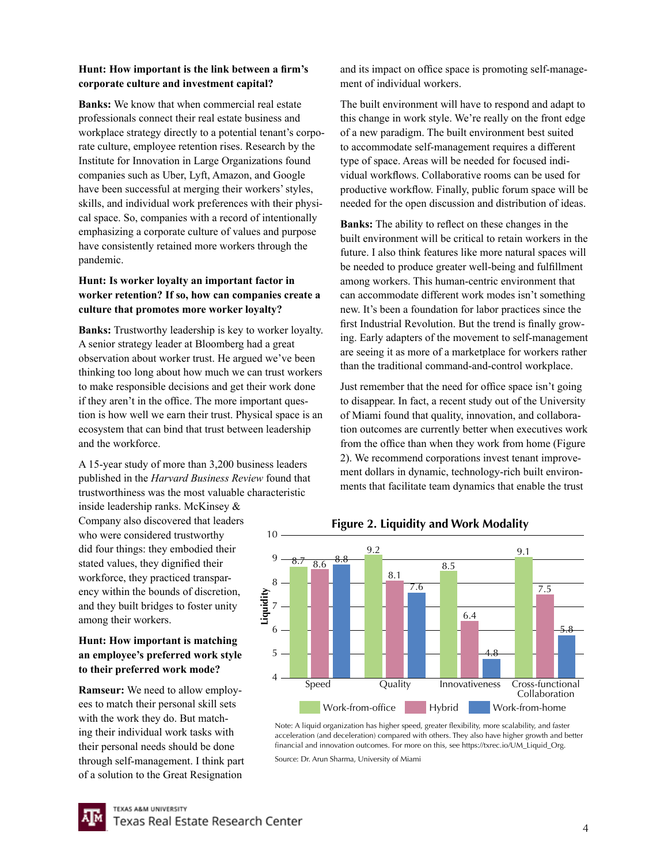#### **Hunt: How important is the link between a firm's corporate culture and investment capital?**

**Banks:** We know that when commercial real estate professionals connect their real estate business and workplace strategy directly to a potential tenant's corporate culture, employee retention rises. Research by the Institute for Innovation in Large Organizations found companies such as Uber, Lyft, Amazon, and Google have been successful at merging their workers' styles, skills, and individual work preferences with their physical space. So, companies with a record of intentionally emphasizing a corporate culture of values and purpose have consistently retained more workers through the pandemic.

#### **Hunt: Is worker loyalty an important factor in worker retention? If so, how can companies create a culture that promotes more worker loyalty?**

**Banks:** Trustworthy leadership is key to worker loyalty. A senior strategy leader at Bloomberg had a great observation about worker trust. He argued we've been thinking too long about how much we can trust workers to make responsible decisions and get their work done if they aren't in the office. The more important question is how well we earn their trust. Physical space is an ecosystem that can bind that trust between leadership and the workforce.

A 15-year study of more than 3,200 business leaders published in the *Harvard Business Review* found that trustworthiness was the most valuable characteristic

inside leadership ranks. McKinsey & Company also discovered that leaders who were considered trustworthy did four things: they embodied their stated values, they dignified their workforce, they practiced transparency within the bounds of discretion, and they built bridges to foster unity among their workers.

#### **Hunt: How important is matching an employee's preferred work style to their preferred work mode?**

**Ramseur:** We need to allow employees to match their personal skill sets with the work they do. But matching their individual work tasks with their personal needs should be done through self-management. I think part of a solution to the Great Resignation

and its impact on office space is promoting self-management of individual workers.

The built environment will have to respond and adapt to this change in work style. We're really on the front edge of a new paradigm. The built environment best suited to accommodate self-management requires a different type of space. Areas will be needed for focused individual workflows. Collaborative rooms can be used for productive workflow. Finally, public forum space will be needed for the open discussion and distribution of ideas.

**Banks:** The ability to reflect on these changes in the built environment will be critical to retain workers in the future. I also think features like more natural spaces will be needed to produce greater well-being and fulfillment among workers. This human-centric environment that can accommodate different work modes isn't something new. It's been a foundation for labor practices since the first Industrial Revolution. But the trend is finally growing. Early adapters of the movement to self-management are seeing it as more of a marketplace for workers rather than the traditional command-and-control workplace.

Just remember that the need for office space isn't going to disappear. In fact, a recent study out of the University of Miami found that quality, innovation, and collaboration outcomes are currently better when executives work from the office than when they work from home (Figure 2). We recommend corporations invest tenant improvement dollars in dynamic, technology-rich built environments that facilitate team dynamics that enable the trust



#### **Figure 2. Liquidity and Work Modality**

Note: A liquid organization has higher speed, greater flexibility, more scalability, and faster acceleration (and deceleration) compared with others. They also have higher growth and better financial and innovation outcomes. For more on this, see https://txrec.io/UM\_Liquid\_Org.

Source: Dr. Arun Sharma, University of Miami